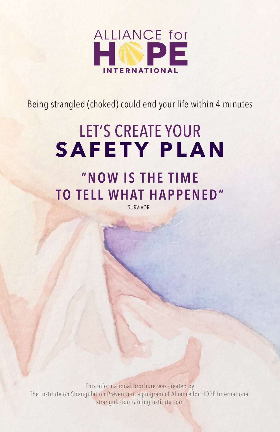

Being strangled (choked) could end your life within 4 minutes

# LET'S CREATE YOUR **SAFETY PLAN**

### **" N O W I S T H E T I M E TO TELL WHAT HAPPENED"**

SURVIVOR

This informational brochure was created by The Institute on Strangulation Prevention, a program of Alliance for HOPE International strangulationtraininginstitute.com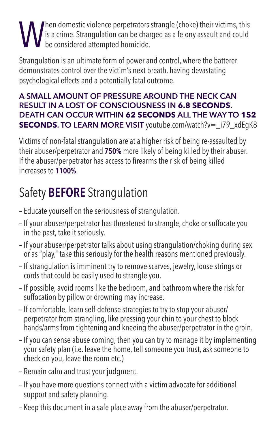#### Then domestic violence perpetrators strangle (choke) their victims, this is a crime. Strangulation can be charged as a felony assault and could be considered attempted homicide.

Strangulation is an ultimate form of power and control, where the batterer demonstrates control over the victim's next breath, having devastating psychological effects and a potentially fatal outcome.

#### **A SMALL AMOUNT OF PRESSURE AROUND THE NECK CAN RESULT IN A LOST OF CONSCIOUSNESS IN 6.8 SECONDS. DEATH CAN OCCUR WITHIN 62 SECONDS ALL THE WAY TO 152 SECONDS. TO LEARN MORE VISIT** *youtube.com/watch?v=* **i79 xdEqK8**

Victims of non-fatal strangulation are at a higher risk of being re-assaulted by their abuser/perpetrator and **750%** more likely of being killed by their abuser. If the abuser/perpetrator has access to firearms the risk of being killed increases to **1100%**.

### Safety **BEFORE** Strangulation

- Educate yourself on the seriousness of strangulation.
- If your abuser/perpetrator has threatened to strangle, choke or suffocate you in the past, take it seriously.
- If your abuser/perpetrator talks about using strangulation/choking during sex or as "play," take this seriously for the health reasons mentioned previously.
- If strangulation is imminent try to remove scarves, jewelry, loose strings or cords that could be easily used to strangle you.
- If possible, avoid rooms like the bedroom, and bathroom where the risk for suffocation by pillow or drowning may increase.
- If comfortable, learn self-defense strategies to try to stop your abuser/ perpetrator from strangling, like pressing your chin to your chest to block hands/arms from tightening and kneeing the abuser/perpetrator in the groin.
- If you can sense abuse coming, then you can try to manage it by implementing your safety plan (i.e. leave the home, tell someone you trust, ask someone to check on you, leave the room etc.)
- Remain calm and trust your judgment.
- If you have more questions connect with a victim advocate for additional support and safety planning.
- Keep this document in a safe place away from the abuser/perpetrator.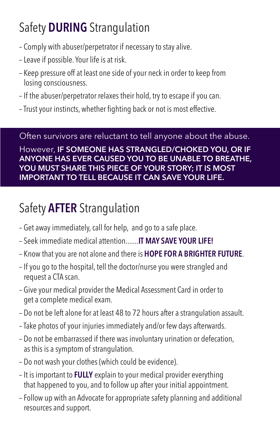## Safety **DURING** Strangulation

- Comply with abuser/perpetrator if necessary to stay alive.
- Leave if possible. Your life is at risk.
- Keep pressure off at least one side of your neck in order to keep from losing consciousness.
- If the abuser/perpetrator relaxes their hold, try to escape if you can.
- Trust your instincts, whether fighting back or not is most effective.

Often survivors are reluctant to tell anyone about the abuse.

However, **IF SOMEONE HAS STRANGLED/CHOKED YOU, OR IF ANYONE HAS EVER CAUSED YOU TO BE UNABLE TO BREATHE, YOU MUST SHARE THIS PIECE OF YOUR STORY; IT IS MOST IMPORTANT TO TELL BECAUSE IT CAN SAVE YOUR LIFE.** 

### Safety **AFTER** Strangulation

- Get away immediately, call for help, and go to a safe place.
- Seek immediate medical attention.......**IT MAY SAVE YOUR LIFE!**
- Know that you are not alone and there is **HOPE FOR A BRIGHTER FUTURE**.
- If you go to the hospital, tell the doctor/nurse you were strangled and request a CTA scan.
- Give your medical provider the Medical Assessment Card in order to get a complete medical exam.
- Do not be left alone for at least 48 to 72 hours after a strangulation assault.
- Take photos of your injuries immediately and/or few days afterwards.
- Do not be embarrassed if there was involuntary urination or defecation, as this is a symptom of strangulation.
- Do not wash your clothes (which could be evidence).
- It is important to **FULLY** explain to your medical provider everything that happened to you, and to follow up after your initial appointment.
- Follow up with an Advocate for appropriate safety planning and additional resources and support.